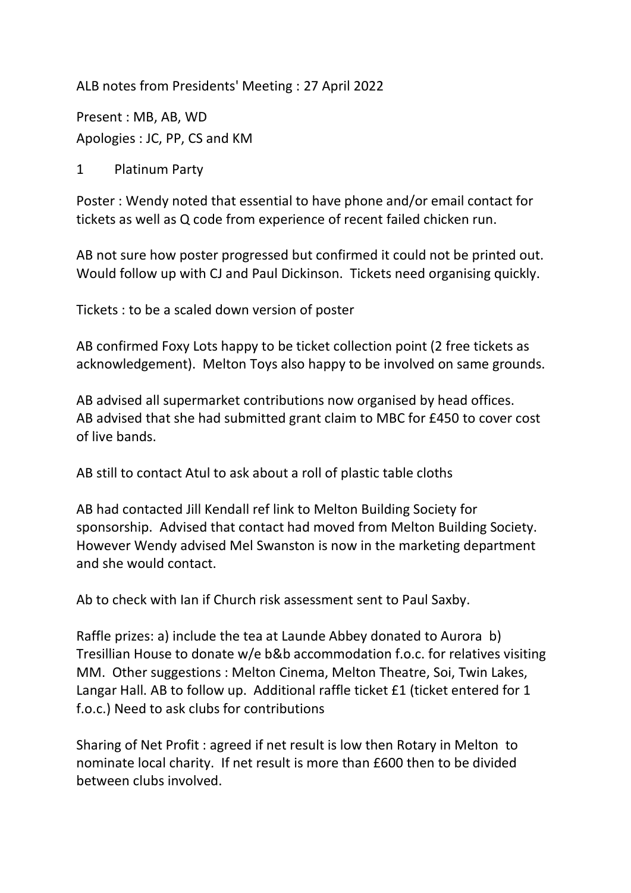ALB notes from Presidents' Meeting : 27 April 2022

Present : MB, AB, WD Apologies : JC, PP, CS and KM

1 Platinum Party

Poster : Wendy noted that essential to have phone and/or email contact for tickets as well as Q code from experience of recent failed chicken run.

AB not sure how poster progressed but confirmed it could not be printed out. Would follow up with CJ and Paul Dickinson. Tickets need organising quickly.

Tickets : to be a scaled down version of poster

AB confirmed Foxy Lots happy to be ticket collection point (2 free tickets as acknowledgement). Melton Toys also happy to be involved on same grounds.

AB advised all supermarket contributions now organised by head offices. AB advised that she had submitted grant claim to MBC for £450 to cover cost of live bands.

AB still to contact Atul to ask about a roll of plastic table cloths

AB had contacted Jill Kendall ref link to Melton Building Society for sponsorship. Advised that contact had moved from Melton Building Society. However Wendy advised Mel Swanston is now in the marketing department and she would contact.

Ab to check with Ian if Church risk assessment sent to Paul Saxby.

Raffle prizes: a) include the tea at Launde Abbey donated to Aurora b) Tresillian House to donate w/e b&b accommodation f.o.c. for relatives visiting MM. Other suggestions : Melton Cinema, Melton Theatre, Soi, Twin Lakes, Langar Hall. AB to follow up. Additional raffle ticket £1 (ticket entered for 1 f.o.c.) Need to ask clubs for contributions

Sharing of Net Profit : agreed if net result is low then Rotary in Melton to nominate local charity. If net result is more than £600 then to be divided between clubs involved.